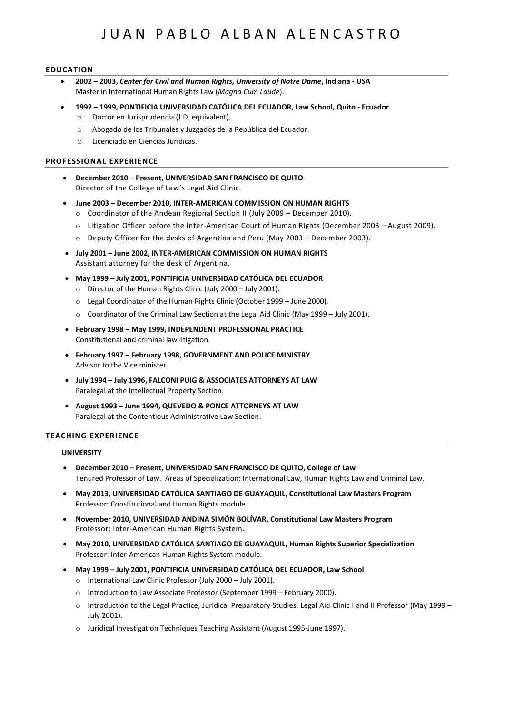# JUAN PABLO ALBAN ALENCASTRO

## **EDUCATION**

- **2002 – 2003,** *Center for Civil and Human Rights, University of Notre Dame***, Indiana - USA** Master in International Human Rights Law (*Magna Cum Laude*).
- **1992 – 1999, PONTIFICIA UNIVERSIDAD CATÓLICA DEL ECUADOR, Law School, Quito - Ecuador**
	- o Doctor en Jurisprudencia (J.D. equivalent).
	- o Abogado de los Tribunales y Juzgados de la República del Ecuador.
	- o Licenciado en Ciencias Jurídicas.

### **PROFESSIONAL EXPERIENCE**

- **December 2010 – Present, UNIVERSIDAD SAN FRANCISCO DE QUITO** Director of the College of Law's Legal Aid Clinic.
- **June 2003 – December 2010, INTER-AMERICAN COMMISSION ON HUMAN RIGHTS**
	- o Coordinator of the Andean Regional Section II (July 2009 December 2010).
	- o Litigation Officer before the Inter-American Court of Human Rights (December 2003 August 2009).
	- o Deputy Officer for the desks of Argentina and Peru (May 2003 December 2003).
- **July 2001 – June 2002, INTER-AMERICAN COMMISSION ON HUMAN RIGHTS** Assistant attorney for the desk of Argentina.
- **May 1999 – July 2001, PONTIFICIA UNIVERSIDAD CATÓLICA DEL ECUADOR**
	- o Director of the Human Rights Clinic (July 2000 July 2001).
	- o Legal Coordinator of the Human Rights Clinic (October 1999 June 2000).
	- o Coordinator of the Criminal Law Section at the Legal Aid Clinic (May 1999 July 2001).
- **February 1998 – May 1999, INDEPENDENT PROFESSIONAL PRACTICE** Constitutional and criminal law litigation.
- **February 1997 – February 1998, GOVERNMENT AND POLICE MINISTRY** Advisor to the Vice minister.
- **July 1994 – July 1996, FALCONI PUIG & ASSOCIATES ATTORNEYS AT LAW** Paralegal at the Intellectual Property Section.
- **August 1993 – June 1994, QUEVEDO & PONCE ATTORNEYS AT LAW** Paralegal at the Contentious Administrative Law Section.

### **TEACHING EXPERIENCE**

### **UNIVERSITY**

- **December 2010 – Present, UNIVERSIDAD SAN FRANCISCO DE QUITO, College of Law** Tenured Professor of Law. Areas of Specialization: International Law, Human Rights Law and Criminal Law.
- **May 2013, UNIVERSIDAD CATÓLICA SANTIAGO DE GUAYAQUIL, Constitutional Law Masters Program** Professor: Constitutional and Human Rights module.
- **November 2010, UNIVERSIDAD ANDINA SIMÓN BOLÍVAR, Constitutional Law Masters Program** Professor: Inter-American Human Rights System.
- **May 2010, UNIVERSIDAD CATÓLICA SANTIAGO DE GUAYAQUIL, Human Rights Superior Specialization** Professor: Inter-American Human Rights System module.
- **May 1999 – July 2001, PONTIFICIA UNIVERSIDAD CATÓLICA DEL ECUADOR, Law School**
	- o International Law Clinic Professor (July 2000 July 2001).
	- o Introduction to Law Associate Professor (September 1999 February 2000).
	- o Introduction to the Legal Practice, Juridical Preparatory Studies, Legal Aid Clinic I and II Professor (May 1999 July 2001).
	- o Juridical Investigation Techniques Teaching Assistant (August 1995-June 1997).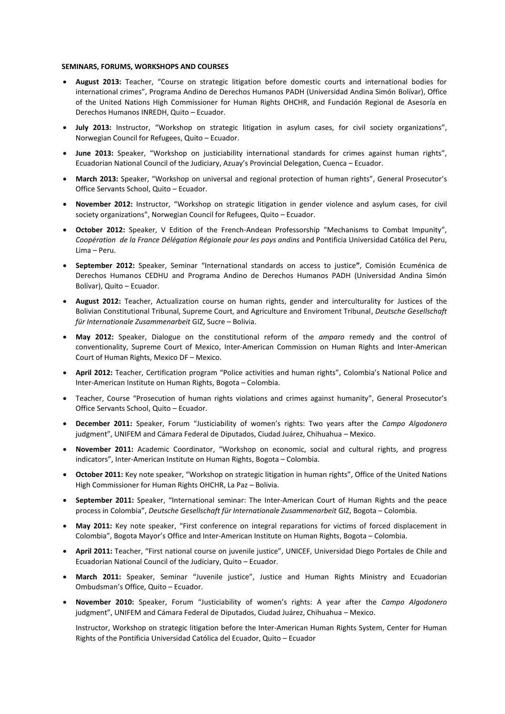#### **SEMINARS, FORUMS, WORKSHOPS AND COURSES**

- **August 2013:** Teacher, "Course on strategic litigation before domestic courts and international bodies for international crimes", Programa Andino de Derechos Humanos PADH (Universidad Andina Simón Bolívar), Office of the United Nations High Commissioner for Human Rights OHCHR, and Fundación Regional de Asesoría en Derechos Humanos INREDH, Quito – Ecuador.
- **July 2013:** Instructor, "Workshop on strategic litigation in asylum cases, for civil society organizations", Norwegian Council for Refugees, Quito – Ecuador.
- **June 2013:** Speaker, "Workshop on justiciability international standards for crimes against human rights", Ecuadorian National Council of the Judiciary, Azuay's Provincial Delegation, Cuenca – Ecuador.
- **March 2013:** Speaker, "Workshop on universal and regional protection of human rights", General Prosecutor's Office Servants School, Quito – Ecuador.
- **November 2012:** Instructor, "Workshop on strategic litigation in gender violence and asylum cases, for civil society organizations", Norwegian Council for Refugees, Quito – Ecuador.
- **October 2012:** Speaker, V Edition of the French-Andean Professorship "Mechanisms to Combat Impunity", *Coopération de la France Délégation Régionale pour les pays andins* and Pontificia Universidad Católica del Peru, Lima – Peru.
- **September 2012:** Speaker, Seminar "International standards on access to justice**"**, Comisión Ecuménica de Derechos Humanos CEDHU and Programa Andino de Derechos Humanos PADH (Universidad Andina Simón Bolívar), Quito – Ecuador.
- **August 2012:** Teacher, Actualization course on human rights, gender and interculturality for Justices of the Bolivian Constitutional Tribunal, Supreme Court, and Agriculture and Enviroment Tribunal, *Deutsche Gesellschaft für Internationale Zusammenarbeit* GIZ, Sucre – Bolivia.
- **May 2012:** Speaker, Dialogue on the constitutional reform of the *amparo* remedy and the control of conventionality, Supreme Court of Mexico, Inter-American Commission on Human Rights and Inter-American Court of Human Rights, Mexico DF – Mexico.
- **April 2012:** Teacher, Certification program "Police activities and human rights", Colombia's National Police and Inter-American Institute on Human Rights, Bogota – Colombia.
- Teacher, Course "Prosecution of human rights violations and crimes against humanity", General Prosecutor's Office Servants School, Quito – Ecuador.
- **December 2011:** Speaker, Forum "Justiciability of women's rights: Two years after the *Campo Algodonero* judgment", UNIFEM and Cámara Federal de Diputados, Ciudad Juárez, Chihuahua – Mexico.
- **November 2011:** Academic Coordinator, "Workshop on economic, social and cultural rights, and progress indicators", Inter-American Institute on Human Rights, Bogota – Colombia.
- **October 2011:** Key note speaker, "Workshop on strategic litigation in human rights", Office of the United Nations High Commissioner for Human Rights OHCHR, La Paz – Bolivia.
- **September 2011:** Speaker, "International seminar: The Inter-American Court of Human Rights and the peace process in Colombia", *Deutsche Gesellschaft für Internationale Zusammenarbeit* GIZ, Bogota – Colombia.
- **May 2011:** Key note speaker, "First conference on integral reparations for victims of forced displacement in Colombia", Bogota Mayor's Office and Inter-American Institute on Human Rights, Bogota – Colombia.
- **April 2011:** Teacher, "First national course on juvenile justice", UNICEF, Universidad Diego Portales de Chile and Ecuadorian National Council of the Judiciary, Quito – Ecuador.
- **March 2011:** Speaker, Seminar "Juvenile justice", Justice and Human Rights Ministry and Ecuadorian Ombudsman's Office, Quito – Ecuador.
- **November 2010:** Speaker, Forum "Justiciability of women's rights: A year after the *Campo Algodonero* judgment", UNIFEM and Cámara Federal de Diputados, Ciudad Juárez, Chihuahua – Mexico.

Instructor, Workshop on strategic litigation before the Inter-American Human Rights System, Center for Human Rights of the Pontificia Universidad Católica del Ecuador, Quito – Ecuador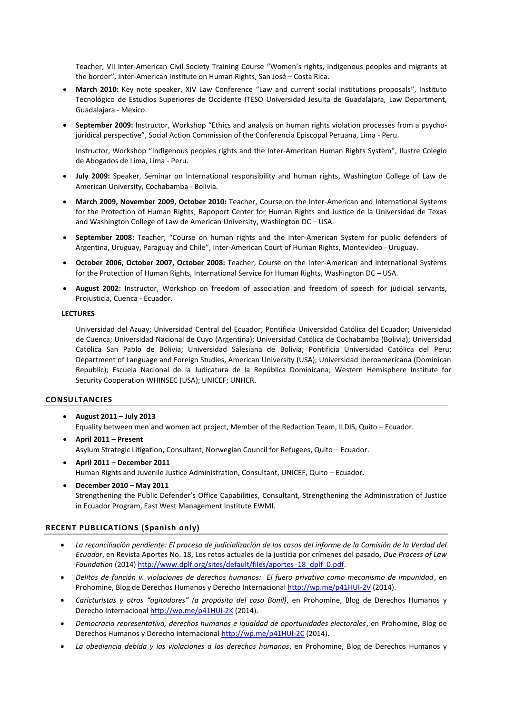Teacher, VII Inter-American Civil Society Training Course "Women's rights, indigenous peoples and migrants at the border", Inter-American Institute on Human Rights, San José – Costa Rica.

- **March 2010:** Key note speaker, XIV Law Conference "Law and current social institutions proposals", Instituto Tecnológico de Estudios Superiores de Occidente ITESO Universidad Jesuita de Guadalajara, Law Department, Guadalajara - Mexico.
- **September 2009:** Instructor, Workshop "Ethics and analysis on human rights violation processes from a psychojuridical perspective", Social Action Commission of the Conferencia Episcopal Peruana, Lima - Peru.

Instructor, Workshop "Indigenous peoples rights and the Inter-American Human Rights System", Ilustre Colegio de Abogados de Lima, Lima - Peru.

- **July 2009:** Speaker, Seminar on International responsibility and human rights, Washington College of Law de American University, Cochabamba - Bolivia.
- **March 2009, November 2009, October 2010:** Teacher, Course on the Inter-American and International Systems for the Protection of Human Rights, Rapoport Center for Human Rights and Justice de la Universidad de Texas and Washington College of Law de American University, Washington DC – USA.
- **September 2008:** Teacher, "Course on human rights and the Inter-American System for public defenders of Argentina, Uruguay, Paraguay and Chile", Inter-American Court of Human Rights, Montevideo - Uruguay.
- **October 2006, October 2007, October 2008:** Teacher, Course on the Inter-American and International Systems for the Protection of Human Rights, International Service for Human Rights, Washington DC – USA.
- **August 2002:** Instructor, Workshop on freedom of association and freedom of speech for judicial servants, Projusticia, Cuenca - Ecuador.

### **LECTURES**

Universidad del Azuay; Universidad Central del Ecuador; Pontificia Universidad Católica del Ecuador; Universidad de Cuenca; Universidad Nacional de Cuyo (Argentina); Universidad Católica de Cochabamba (Bolivia); Universidad Católica San Pablo de Bolivia; Universidad Salesiana de Bolivia; Pontificia Universidad Católica del Peru; Department of Language and Foreign Studies, American University (USA); Universidad Iberoamericana (Dominican Republic); Escuela Nacional de la Judicatura de la República Dominicana; Western Hemisphere Institute for Security Cooperation WHINSEC (USA); UNICEF; UNHCR.

### **CONSULTANCIES**

- **August 2011 – July 2013** Equality between men and women act project, Member of the Redaction Team, ILDIS, Quito – Ecuador.
- **April 2011 – Present** Asylum Strategic Litigation, Consultant, Norwegian Council for Refugees, Quito – Ecuador.
- **April 2011 – December 2011** Human Rights and Juvenile Justice Administration, Consultant, UNICEF, Quito – Ecuador.
- **December 2010 – May 2011** Strengthening the Public Defender's Office Capabilities, Consultant, Strengthening the Administration of Justice in Ecuador Program, East West Management Institute EWMI.

## **RECENT PUBLICATIONS (Spanish only)**

- *La reconciliación pendiente: El proceso de judicialización de los casos del informe de la Comisión de la Verdad del Ecuador*, en Revista Aportes No. 18, Los retos actuales de la justicia por crímenes del pasado, *Due Process of Law Foundation* (2014) [http://www.dplf.org/sites/default/files/aportes\\_18\\_dplf\\_0.pdf.](http://www.dplf.org/sites/default/files/aportes_18_dplf_0.pdf)
- *Delitos de función v. violaciones de derechos humanos: El fuero privativo como mecanismo de impunidad*, en Prohomine, Blog de Derechos Humanos y Derecho Internaciona[l http://wp.me/p41HUl-2V](http://wp.me/p41HUl-2V) (2014).
- *Caricturistas y otros "agitadores" (a propósito del caso Bonil)*, en Prohomine, Blog de Derechos Humanos y Derecho Internaciona[l http://wp.me/p41HUl-2K](http://wp.me/p41HUl-2K) (2014).
- *Democracia representativa, derechos humanos e igualdad de oportunidades electorales*, en Prohomine, Blog de Derechos Humanos y Derecho Internacional<http://wp.me/p41HUl-2C> (2014).
- *La obediencia debida y las violaciones a los derechos humanos*, en Prohomine, Blog de Derechos Humanos y